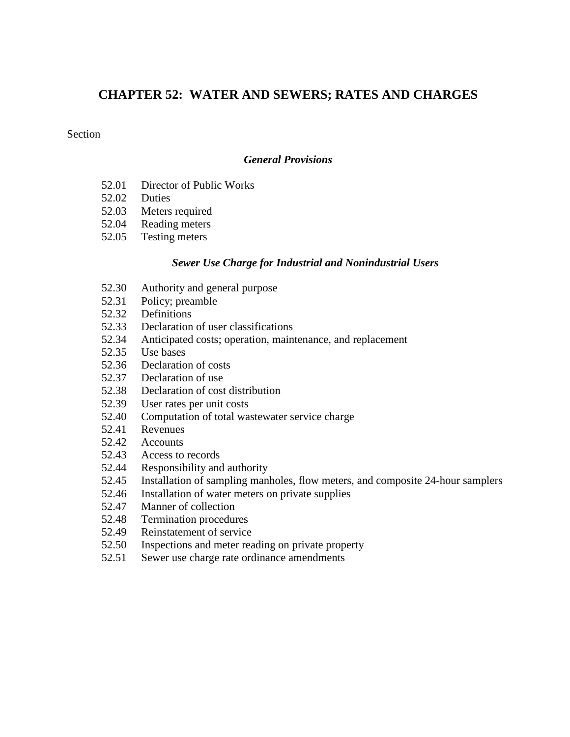## **CHAPTER 52: WATER AND SEWERS; RATES AND CHARGES**

#### Section

#### *General Provisions*

- 52.01 Director of Public Works
- 52.02 Duties<br>52.03 Meters
- Meters required
- 52.04 Reading meters
- 52.05 Testing meters

#### *Sewer Use Charge for Industrial and Nonindustrial Users*

- 52.30 Authority and general purpose
- 52.31 Policy; preamble
- 52.32 Definitions
- 52.33 Declaration of user classifications
- 52.34 Anticipated costs; operation, maintenance, and replacement
- 52.35 Use bases
- 52.36 Declaration of costs
- 52.37 Declaration of use
- 52.38 Declaration of cost distribution
- 52.39 User rates per unit costs
- 52.40 Computation of total wastewater service charge
- 52.41 Revenues<br>52.42 Accounts
- Accounts
- 52.43 Access to records
- 52.44 Responsibility and authority
- 52.45 Installation of sampling manholes, flow meters, and composite 24-hour samplers
- 52.46 Installation of water meters on private supplies
- 52.47 Manner of collection
- 52.48 Termination procedures
- 52.49 Reinstatement of service
- 52.50 Inspections and meter reading on private property
- 52.51 Sewer use charge rate ordinance amendments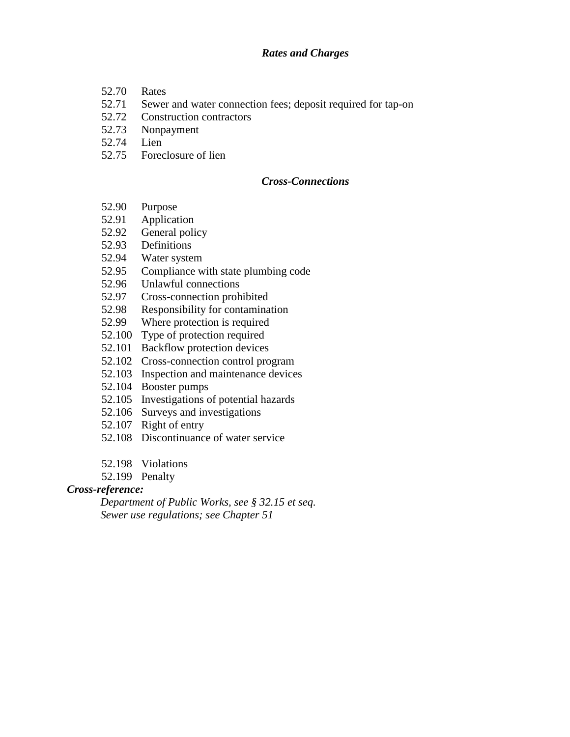#### *Rates and Charges*

- 52.70 Rates
- 52.71 Sewer and water connection fees; deposit required for tap-on
- 52.72 Construction contractors
- 52.73 Nonpayment
- 52.74 Lien
- 52.75 Foreclosure of lien

#### *Cross-Connections*

- 52.90 Purpose
- 52.91 Application
- 52.92 General policy
- 52.93 Definitions<br>52.94 Water syste
- Water system
- 52.95 Compliance with state plumbing code
- 52.96 Unlawful connections
- 52.97 Cross-connection prohibited
- 52.98 Responsibility for contamination
- 52.99 Where protection is required
- 52.100 Type of protection required
- 52.101 Backflow protection devices
- 52.102 Cross-connection control program
- 52.103 Inspection and maintenance devices
- 52.104 Booster pumps
- 52.105 Investigations of potential hazards
- 52.106 Surveys and investigations
- 52.107 Right of entry
- 52.108 Discontinuance of water service
- 52.198 Violations
- 52.199 Penalty

#### *Cross-reference:*

*Department of Public Works, see § 32.15 et seq. Sewer use regulations; see Chapter 51*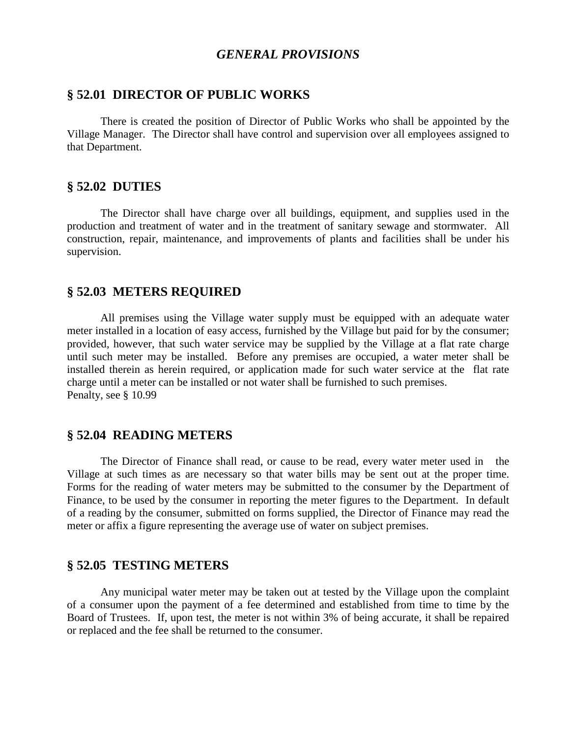## *GENERAL PROVISIONS*

#### **§ 52.01 DIRECTOR OF PUBLIC WORKS**

There is created the position of Director of Public Works who shall be appointed by the Village Manager. The Director shall have control and supervision over all employees assigned to that Department.

#### **§ 52.02 DUTIES**

The Director shall have charge over all buildings, equipment, and supplies used in the production and treatment of water and in the treatment of sanitary sewage and stormwater. All construction, repair, maintenance, and improvements of plants and facilities shall be under his supervision.

#### **§ 52.03 METERS REQUIRED**

All premises using the Village water supply must be equipped with an adequate water meter installed in a location of easy access, furnished by the Village but paid for by the consumer; provided, however, that such water service may be supplied by the Village at a flat rate charge until such meter may be installed. Before any premises are occupied, a water meter shall be installed therein as herein required, or application made for such water service at the flat rate charge until a meter can be installed or not water shall be furnished to such premises. Penalty, see § 10.99

#### **§ 52.04 READING METERS**

The Director of Finance shall read, or cause to be read, every water meter used in the Village at such times as are necessary so that water bills may be sent out at the proper time. Forms for the reading of water meters may be submitted to the consumer by the Department of Finance, to be used by the consumer in reporting the meter figures to the Department. In default of a reading by the consumer, submitted on forms supplied, the Director of Finance may read the meter or affix a figure representing the average use of water on subject premises.

#### **§ 52.05 TESTING METERS**

Any municipal water meter may be taken out at tested by the Village upon the complaint of a consumer upon the payment of a fee determined and established from time to time by the Board of Trustees. If, upon test, the meter is not within 3% of being accurate, it shall be repaired or replaced and the fee shall be returned to the consumer.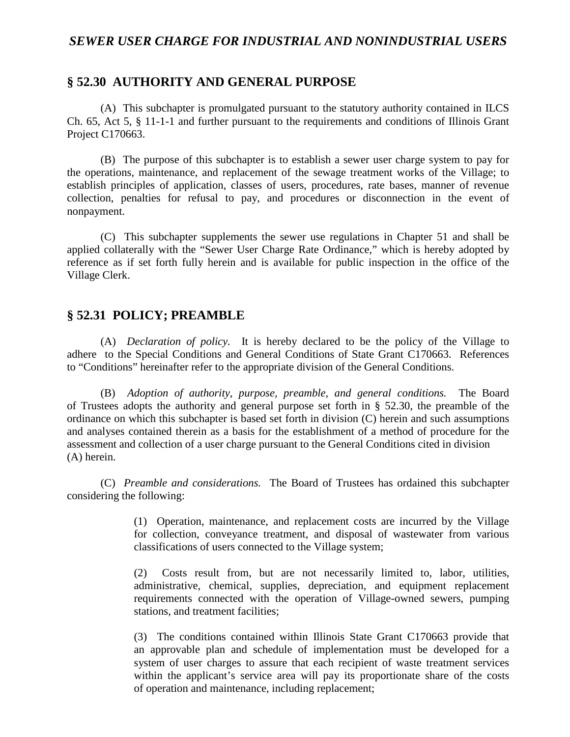#### *SEWER USER CHARGE FOR INDUSTRIAL AND NONINDUSTRIAL USERS*

#### **§ 52.30 AUTHORITY AND GENERAL PURPOSE**

(A) This subchapter is promulgated pursuant to the statutory authority contained in ILCS Ch. 65, Act 5, § 11-1-1 and further pursuant to the requirements and conditions of Illinois Grant Project C170663.

(B) The purpose of this subchapter is to establish a sewer user charge system to pay for the operations, maintenance, and replacement of the sewage treatment works of the Village; to establish principles of application, classes of users, procedures, rate bases, manner of revenue collection, penalties for refusal to pay, and procedures or disconnection in the event of nonpayment.

(C) This subchapter supplements the sewer use regulations in Chapter 51 and shall be applied collaterally with the "Sewer User Charge Rate Ordinance," which is hereby adopted by reference as if set forth fully herein and is available for public inspection in the office of the Village Clerk.

#### **§ 52.31 POLICY; PREAMBLE**

(A) *Declaration of policy.* It is hereby declared to be the policy of the Village to adhere to the Special Conditions and General Conditions of State Grant C170663. References to "Conditions" hereinafter refer to the appropriate division of the General Conditions.

(B) *Adoption of authority, purpose, preamble, and general conditions.* The Board of Trustees adopts the authority and general purpose set forth in § 52.30, the preamble of the ordinance on which this subchapter is based set forth in division (C) herein and such assumptions and analyses contained therein as a basis for the establishment of a method of procedure for the assessment and collection of a user charge pursuant to the General Conditions cited in division (A) herein.

(C) *Preamble and considerations.* The Board of Trustees has ordained this subchapter considering the following:

> (1) Operation, maintenance, and replacement costs are incurred by the Village for collection, conveyance treatment, and disposal of wastewater from various classifications of users connected to the Village system;

> (2) Costs result from, but are not necessarily limited to, labor, utilities, administrative, chemical, supplies, depreciation, and equipment replacement requirements connected with the operation of Village-owned sewers, pumping stations, and treatment facilities;

> (3) The conditions contained within Illinois State Grant C170663 provide that an approvable plan and schedule of implementation must be developed for a system of user charges to assure that each recipient of waste treatment services within the applicant's service area will pay its proportionate share of the costs of operation and maintenance, including replacement;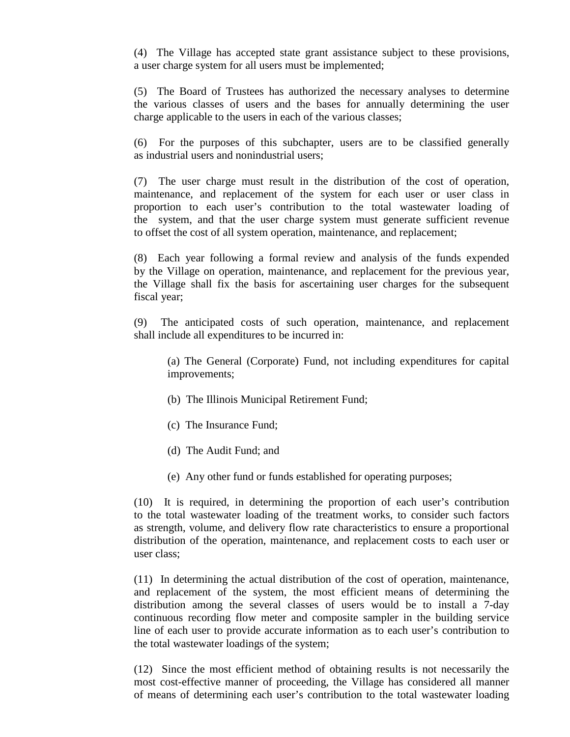(4) The Village has accepted state grant assistance subject to these provisions, a user charge system for all users must be implemented;

(5) The Board of Trustees has authorized the necessary analyses to determine the various classes of users and the bases for annually determining the user charge applicable to the users in each of the various classes;

(6) For the purposes of this subchapter, users are to be classified generally as industrial users and nonindustrial users;

(7) The user charge must result in the distribution of the cost of operation, maintenance, and replacement of the system for each user or user class in proportion to each user's contribution to the total wastewater loading of the system, and that the user charge system must generate sufficient revenue to offset the cost of all system operation, maintenance, and replacement;

(8) Each year following a formal review and analysis of the funds expended by the Village on operation, maintenance, and replacement for the previous year, the Village shall fix the basis for ascertaining user charges for the subsequent fiscal year;

(9) The anticipated costs of such operation, maintenance, and replacement shall include all expenditures to be incurred in:

(a) The General (Corporate) Fund, not including expenditures for capital improvements;

- (b) The Illinois Municipal Retirement Fund;
- (c) The Insurance Fund;
- (d) The Audit Fund; and
- (e) Any other fund or funds established for operating purposes;

(10) It is required, in determining the proportion of each user's contribution to the total wastewater loading of the treatment works, to consider such factors as strength, volume, and delivery flow rate characteristics to ensure a proportional distribution of the operation, maintenance, and replacement costs to each user or user class;

(11) In determining the actual distribution of the cost of operation, maintenance, and replacement of the system, the most efficient means of determining the distribution among the several classes of users would be to install a 7-day continuous recording flow meter and composite sampler in the building service line of each user to provide accurate information as to each user's contribution to the total wastewater loadings of the system;

(12) Since the most efficient method of obtaining results is not necessarily the most cost-effective manner of proceeding, the Village has considered all manner of means of determining each user's contribution to the total wastewater loading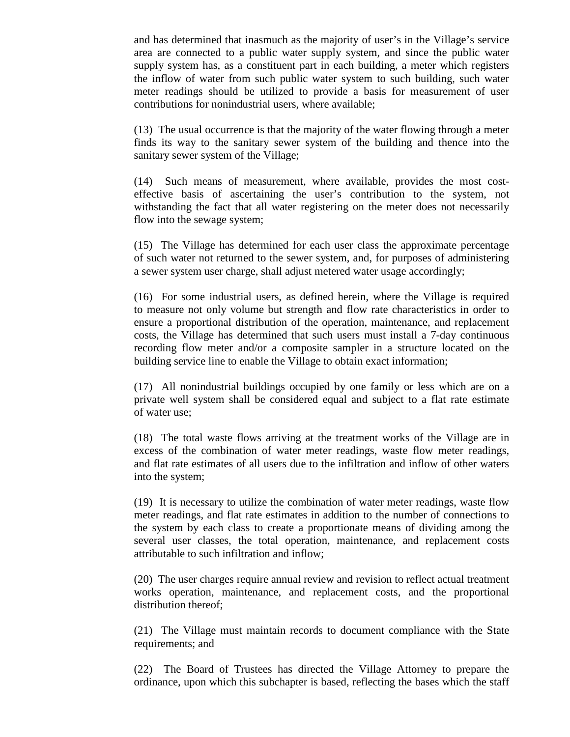and has determined that inasmuch as the majority of user's in the Village's service area are connected to a public water supply system, and since the public water supply system has, as a constituent part in each building, a meter which registers the inflow of water from such public water system to such building, such water meter readings should be utilized to provide a basis for measurement of user contributions for nonindustrial users, where available;

(13) The usual occurrence is that the majority of the water flowing through a meter finds its way to the sanitary sewer system of the building and thence into the sanitary sewer system of the Village;

(14) Such means of measurement, where available, provides the most costeffective basis of ascertaining the user's contribution to the system, not withstanding the fact that all water registering on the meter does not necessarily flow into the sewage system;

(15) The Village has determined for each user class the approximate percentage of such water not returned to the sewer system, and, for purposes of administering a sewer system user charge, shall adjust metered water usage accordingly;

(16) For some industrial users, as defined herein, where the Village is required to measure not only volume but strength and flow rate characteristics in order to ensure a proportional distribution of the operation, maintenance, and replacement costs, the Village has determined that such users must install a 7-day continuous recording flow meter and/or a composite sampler in a structure located on the building service line to enable the Village to obtain exact information;

(17) All nonindustrial buildings occupied by one family or less which are on a private well system shall be considered equal and subject to a flat rate estimate of water use;

(18) The total waste flows arriving at the treatment works of the Village are in excess of the combination of water meter readings, waste flow meter readings, and flat rate estimates of all users due to the infiltration and inflow of other waters into the system;

(19) It is necessary to utilize the combination of water meter readings, waste flow meter readings, and flat rate estimates in addition to the number of connections to the system by each class to create a proportionate means of dividing among the several user classes, the total operation, maintenance, and replacement costs attributable to such infiltration and inflow;

(20) The user charges require annual review and revision to reflect actual treatment works operation, maintenance, and replacement costs, and the proportional distribution thereof;

(21) The Village must maintain records to document compliance with the State requirements; and

(22) The Board of Trustees has directed the Village Attorney to prepare the ordinance, upon which this subchapter is based, reflecting the bases which the staff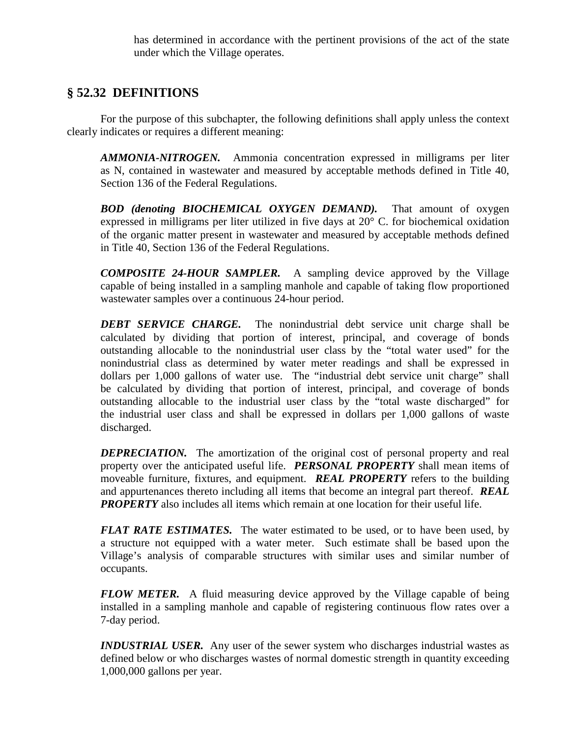has determined in accordance with the pertinent provisions of the act of the state under which the Village operates.

# **§ 52.32 DEFINITIONS**

For the purpose of this subchapter, the following definitions shall apply unless the context clearly indicates or requires a different meaning:

*AMMONIA-NITROGEN.* Ammonia concentration expressed in milligrams per liter as N, contained in wastewater and measured by acceptable methods defined in Title 40, Section 136 of the Federal Regulations.

*BOD (denoting BIOCHEMICAL OXYGEN DEMAND).* That amount of oxygen expressed in milligrams per liter utilized in five days at 20° C. for biochemical oxidation of the organic matter present in wastewater and measured by acceptable methods defined in Title 40, Section 136 of the Federal Regulations.

*COMPOSITE 24-HOUR SAMPLER.* A sampling device approved by the Village capable of being installed in a sampling manhole and capable of taking flow proportioned wastewater samples over a continuous 24-hour period.

*DEBT SERVICE CHARGE.* The nonindustrial debt service unit charge shall be calculated by dividing that portion of interest, principal, and coverage of bonds outstanding allocable to the nonindustrial user class by the "total water used" for the nonindustrial class as determined by water meter readings and shall be expressed in dollars per 1,000 gallons of water use. The "industrial debt service unit charge" shall be calculated by dividing that portion of interest, principal, and coverage of bonds outstanding allocable to the industrial user class by the "total waste discharged" for the industrial user class and shall be expressed in dollars per 1,000 gallons of waste discharged.

*DEPRECIATION*. The amortization of the original cost of personal property and real property over the anticipated useful life. *PERSONAL PROPERTY* shall mean items of moveable furniture, fixtures, and equipment. *REAL PROPERTY* refers to the building and appurtenances thereto including all items that become an integral part thereof. *REAL PROPERTY* also includes all items which remain at one location for their useful life.

*FLAT RATE ESTIMATES.* The water estimated to be used, or to have been used, by a structure not equipped with a water meter. Such estimate shall be based upon the Village's analysis of comparable structures with similar uses and similar number of occupants.

*FLOW METER.* A fluid measuring device approved by the Village capable of being installed in a sampling manhole and capable of registering continuous flow rates over a 7-day period.

*INDUSTRIAL USER.* Any user of the sewer system who discharges industrial wastes as defined below or who discharges wastes of normal domestic strength in quantity exceeding 1,000,000 gallons per year.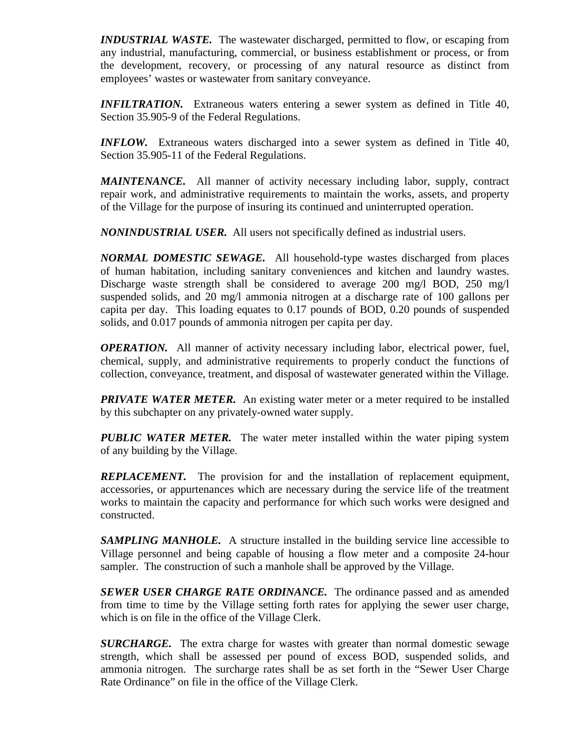*INDUSTRIAL WASTE.* The wastewater discharged, permitted to flow, or escaping from any industrial, manufacturing, commercial, or business establishment or process, or from the development, recovery, or processing of any natural resource as distinct from employees' wastes or wastewater from sanitary conveyance.

*INFILTRATION.* Extraneous waters entering a sewer system as defined in Title 40, Section 35.905-9 of the Federal Regulations.

*INFLOW.* Extraneous waters discharged into a sewer system as defined in Title 40, Section 35.905-11 of the Federal Regulations.

*MAINTENANCE.* All manner of activity necessary including labor, supply, contract repair work, and administrative requirements to maintain the works, assets, and property of the Village for the purpose of insuring its continued and uninterrupted operation.

*NONINDUSTRIAL USER.* All users not specifically defined as industrial users.

*NORMAL DOMESTIC SEWAGE.* All household-type wastes discharged from places of human habitation, including sanitary conveniences and kitchen and laundry wastes. Discharge waste strength shall be considered to average 200 mg/l BOD, 250 mg/l suspended solids, and 20 mg/l ammonia nitrogen at a discharge rate of 100 gallons per capita per day. This loading equates to 0.17 pounds of BOD, 0.20 pounds of suspended solids, and 0.017 pounds of ammonia nitrogen per capita per day.

*OPERATION.* All manner of activity necessary including labor, electrical power, fuel, chemical, supply, and administrative requirements to properly conduct the functions of collection, conveyance, treatment, and disposal of wastewater generated within the Village.

**PRIVATE WATER METER.** An existing water meter or a meter required to be installed by this subchapter on any privately-owned water supply.

*PUBLIC WATER METER.* The water meter installed within the water piping system of any building by the Village.

*REPLACEMENT*. The provision for and the installation of replacement equipment, accessories, or appurtenances which are necessary during the service life of the treatment works to maintain the capacity and performance for which such works were designed and constructed.

**SAMPLING MANHOLE.** A structure installed in the building service line accessible to Village personnel and being capable of housing a flow meter and a composite 24-hour sampler. The construction of such a manhole shall be approved by the Village.

*SEWER USER CHARGE RATE ORDINANCE.* The ordinance passed and as amended from time to time by the Village setting forth rates for applying the sewer user charge, which is on file in the office of the Village Clerk.

*SURCHARGE.* The extra charge for wastes with greater than normal domestic sewage strength, which shall be assessed per pound of excess BOD, suspended solids, and ammonia nitrogen. The surcharge rates shall be as set forth in the "Sewer User Charge Rate Ordinance" on file in the office of the Village Clerk.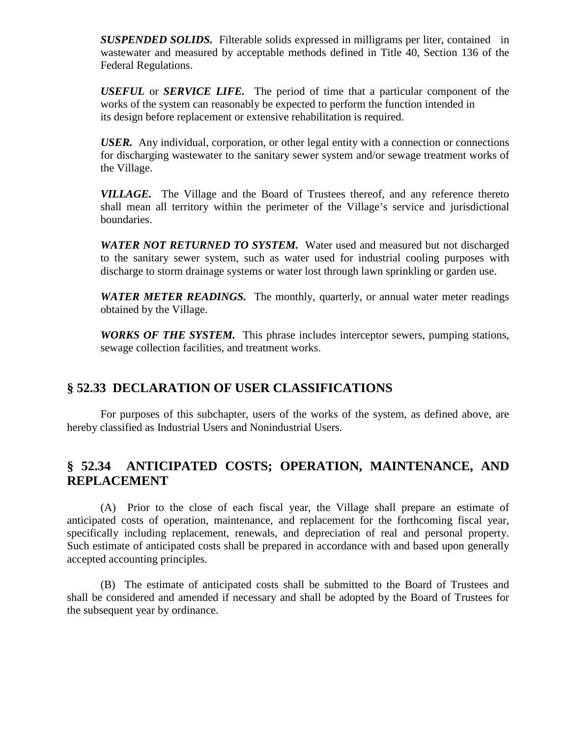*SUSPENDED SOLIDS.* Filterable solids expressed in milligrams per liter, contained in wastewater and measured by acceptable methods defined in Title 40, Section 136 of the Federal Regulations.

*USEFUL* or *SERVICE LIFE.* The period of time that a particular component of the works of the system can reasonably be expected to perform the function intended in its design before replacement or extensive rehabilitation is required.

*USER.* Any individual, corporation, or other legal entity with a connection or connections for discharging wastewater to the sanitary sewer system and/or sewage treatment works of the Village.

*VILLAGE.* The Village and the Board of Trustees thereof, and any reference thereto shall mean all territory within the perimeter of the Village's service and jurisdictional boundaries.

*WATER NOT RETURNED TO SYSTEM.* Water used and measured but not discharged to the sanitary sewer system, such as water used for industrial cooling purposes with discharge to storm drainage systems or water lost through lawn sprinkling or garden use.

*WATER METER READINGS.* The monthly, quarterly, or annual water meter readings obtained by the Village.

*WORKS OF THE SYSTEM.* This phrase includes interceptor sewers, pumping stations, sewage collection facilities, and treatment works.

# **§ 52.33 DECLARATION OF USER CLASSIFICATIONS**

For purposes of this subchapter, users of the works of the system, as defined above, are hereby classified as Industrial Users and Nonindustrial Users.

# **§ 52.34 ANTICIPATED COSTS; OPERATION, MAINTENANCE, AND REPLACEMENT**

(A) Prior to the close of each fiscal year, the Village shall prepare an estimate of anticipated costs of operation, maintenance, and replacement for the forthcoming fiscal year, specifically including replacement, renewals, and depreciation of real and personal property. Such estimate of anticipated costs shall be prepared in accordance with and based upon generally accepted accounting principles.

(B) The estimate of anticipated costs shall be submitted to the Board of Trustees and shall be considered and amended if necessary and shall be adopted by the Board of Trustees for the subsequent year by ordinance.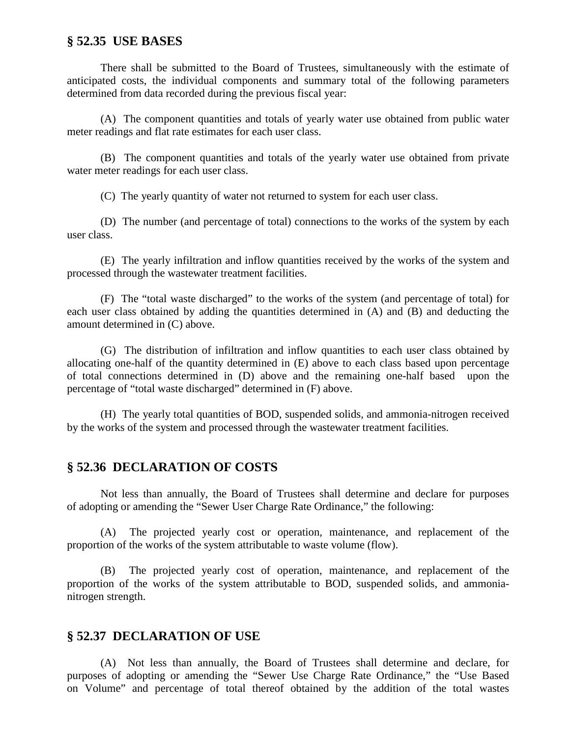#### **§ 52.35 USE BASES**

There shall be submitted to the Board of Trustees, simultaneously with the estimate of anticipated costs, the individual components and summary total of the following parameters determined from data recorded during the previous fiscal year:

(A) The component quantities and totals of yearly water use obtained from public water meter readings and flat rate estimates for each user class.

(B) The component quantities and totals of the yearly water use obtained from private water meter readings for each user class.

(C) The yearly quantity of water not returned to system for each user class.

(D) The number (and percentage of total) connections to the works of the system by each user class.

(E) The yearly infiltration and inflow quantities received by the works of the system and processed through the wastewater treatment facilities.

(F) The "total waste discharged" to the works of the system (and percentage of total) for each user class obtained by adding the quantities determined in (A) and (B) and deducting the amount determined in (C) above.

(G) The distribution of infiltration and inflow quantities to each user class obtained by allocating one-half of the quantity determined in (E) above to each class based upon percentage of total connections determined in (D) above and the remaining one-half based upon the percentage of "total waste discharged" determined in (F) above.

(H) The yearly total quantities of BOD, suspended solids, and ammonia-nitrogen received by the works of the system and processed through the wastewater treatment facilities.

#### **§ 52.36 DECLARATION OF COSTS**

Not less than annually, the Board of Trustees shall determine and declare for purposes of adopting or amending the "Sewer User Charge Rate Ordinance," the following:

(A) The projected yearly cost or operation, maintenance, and replacement of the proportion of the works of the system attributable to waste volume (flow).

(B) The projected yearly cost of operation, maintenance, and replacement of the proportion of the works of the system attributable to BOD, suspended solids, and ammonianitrogen strength.

#### **§ 52.37 DECLARATION OF USE**

(A) Not less than annually, the Board of Trustees shall determine and declare, for purposes of adopting or amending the "Sewer Use Charge Rate Ordinance," the "Use Based on Volume" and percentage of total thereof obtained by the addition of the total wastes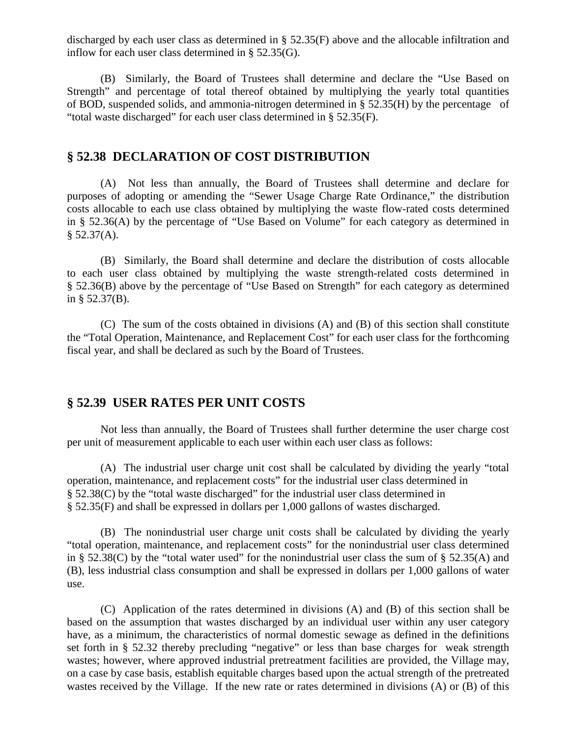discharged by each user class as determined in § 52.35(F) above and the allocable infiltration and inflow for each user class determined in § 52.35(G).

(B) Similarly, the Board of Trustees shall determine and declare the "Use Based on Strength" and percentage of total thereof obtained by multiplying the yearly total quantities of BOD, suspended solids, and ammonia-nitrogen determined in § 52.35(H) by the percentage of "total waste discharged" for each user class determined in § 52.35(F).

#### **§ 52.38 DECLARATION OF COST DISTRIBUTION**

(A) Not less than annually, the Board of Trustees shall determine and declare for purposes of adopting or amending the "Sewer Usage Charge Rate Ordinance," the distribution costs allocable to each use class obtained by multiplying the waste flow-rated costs determined in § 52.36(A) by the percentage of "Use Based on Volume" for each category as determined in  $§ 52.37(A).$ 

(B) Similarly, the Board shall determine and declare the distribution of costs allocable to each user class obtained by multiplying the waste strength-related costs determined in § 52.36(B) above by the percentage of "Use Based on Strength" for each category as determined in § 52.37(B).

(C) The sum of the costs obtained in divisions (A) and (B) of this section shall constitute the "Total Operation, Maintenance, and Replacement Cost" for each user class for the forthcoming fiscal year, and shall be declared as such by the Board of Trustees.

## **§ 52.39 USER RATES PER UNIT COSTS**

Not less than annually, the Board of Trustees shall further determine the user charge cost per unit of measurement applicable to each user within each user class as follows:

(A) The industrial user charge unit cost shall be calculated by dividing the yearly "total operation, maintenance, and replacement costs" for the industrial user class determined in § 52.38(C) by the "total waste discharged" for the industrial user class determined in § 52.35(F) and shall be expressed in dollars per 1,000 gallons of wastes discharged.

(B) The nonindustrial user charge unit costs shall be calculated by dividing the yearly "total operation, maintenance, and replacement costs" for the nonindustrial user class determined in § 52.38(C) by the "total water used" for the nonindustrial user class the sum of § 52.35(A) and (B), less industrial class consumption and shall be expressed in dollars per 1,000 gallons of water use.

(C) Application of the rates determined in divisions (A) and (B) of this section shall be based on the assumption that wastes discharged by an individual user within any user category have, as a minimum, the characteristics of normal domestic sewage as defined in the definitions set forth in § 52.32 thereby precluding "negative" or less than base charges for weak strength wastes; however, where approved industrial pretreatment facilities are provided, the Village may, on a case by case basis, establish equitable charges based upon the actual strength of the pretreated wastes received by the Village. If the new rate or rates determined in divisions (A) or (B) of this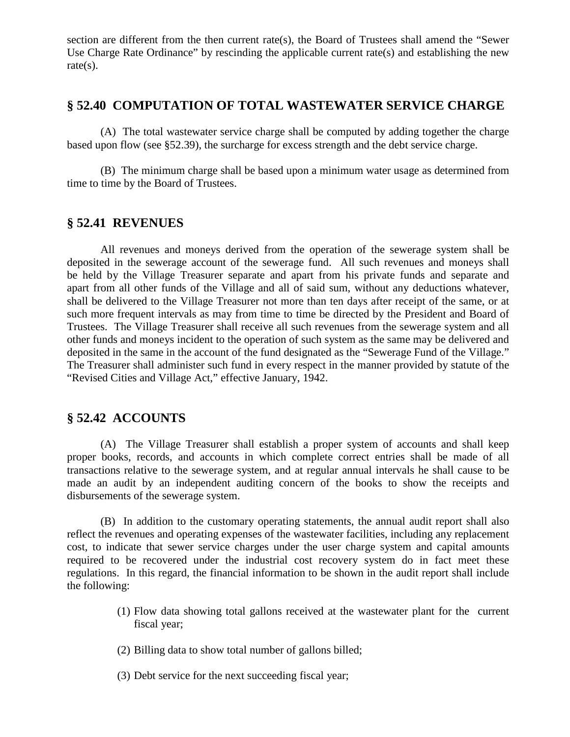section are different from the then current rate(s), the Board of Trustees shall amend the "Sewer Use Charge Rate Ordinance" by rescinding the applicable current rate(s) and establishing the new rate(s).

### **§ 52.40 COMPUTATION OF TOTAL WASTEWATER SERVICE CHARGE**

(A) The total wastewater service charge shall be computed by adding together the charge based upon flow (see §52.39), the surcharge for excess strength and the debt service charge.

(B) The minimum charge shall be based upon a minimum water usage as determined from time to time by the Board of Trustees.

## **§ 52.41 REVENUES**

All revenues and moneys derived from the operation of the sewerage system shall be deposited in the sewerage account of the sewerage fund. All such revenues and moneys shall be held by the Village Treasurer separate and apart from his private funds and separate and apart from all other funds of the Village and all of said sum, without any deductions whatever, shall be delivered to the Village Treasurer not more than ten days after receipt of the same, or at such more frequent intervals as may from time to time be directed by the President and Board of Trustees. The Village Treasurer shall receive all such revenues from the sewerage system and all other funds and moneys incident to the operation of such system as the same may be delivered and deposited in the same in the account of the fund designated as the "Sewerage Fund of the Village." The Treasurer shall administer such fund in every respect in the manner provided by statute of the "Revised Cities and Village Act," effective January, 1942.

# **§ 52.42 ACCOUNTS**

(A) The Village Treasurer shall establish a proper system of accounts and shall keep proper books, records, and accounts in which complete correct entries shall be made of all transactions relative to the sewerage system, and at regular annual intervals he shall cause to be made an audit by an independent auditing concern of the books to show the receipts and disbursements of the sewerage system.

(B) In addition to the customary operating statements, the annual audit report shall also reflect the revenues and operating expenses of the wastewater facilities, including any replacement cost, to indicate that sewer service charges under the user charge system and capital amounts required to be recovered under the industrial cost recovery system do in fact meet these regulations. In this regard, the financial information to be shown in the audit report shall include the following:

- (1) Flow data showing total gallons received at the wastewater plant for the current fiscal year;
- (2) Billing data to show total number of gallons billed;
- (3) Debt service for the next succeeding fiscal year;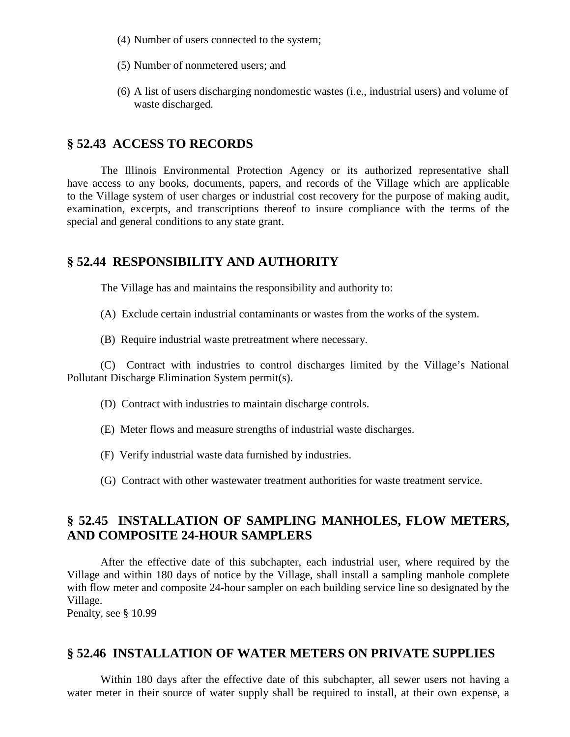- (4) Number of users connected to the system;
- (5) Number of nonmetered users; and
- (6) A list of users discharging nondomestic wastes (i.e., industrial users) and volume of waste discharged.

#### **§ 52.43 ACCESS TO RECORDS**

The Illinois Environmental Protection Agency or its authorized representative shall have access to any books, documents, papers, and records of the Village which are applicable to the Village system of user charges or industrial cost recovery for the purpose of making audit, examination, excerpts, and transcriptions thereof to insure compliance with the terms of the special and general conditions to any state grant.

#### **§ 52.44 RESPONSIBILITY AND AUTHORITY**

The Village has and maintains the responsibility and authority to:

- (A) Exclude certain industrial contaminants or wastes from the works of the system.
- (B) Require industrial waste pretreatment where necessary.

(C) Contract with industries to control discharges limited by the Village's National Pollutant Discharge Elimination System permit(s).

- (D) Contract with industries to maintain discharge controls.
- (E) Meter flows and measure strengths of industrial waste discharges.
- (F) Verify industrial waste data furnished by industries.
- (G) Contract with other wastewater treatment authorities for waste treatment service.

# **§ 52.45 INSTALLATION OF SAMPLING MANHOLES, FLOW METERS, AND COMPOSITE 24-HOUR SAMPLERS**

After the effective date of this subchapter, each industrial user, where required by the Village and within 180 days of notice by the Village, shall install a sampling manhole complete with flow meter and composite 24-hour sampler on each building service line so designated by the Village.

Penalty, see § 10.99

#### **§ 52.46 INSTALLATION OF WATER METERS ON PRIVATE SUPPLIES**

Within 180 days after the effective date of this subchapter, all sewer users not having a water meter in their source of water supply shall be required to install, at their own expense, a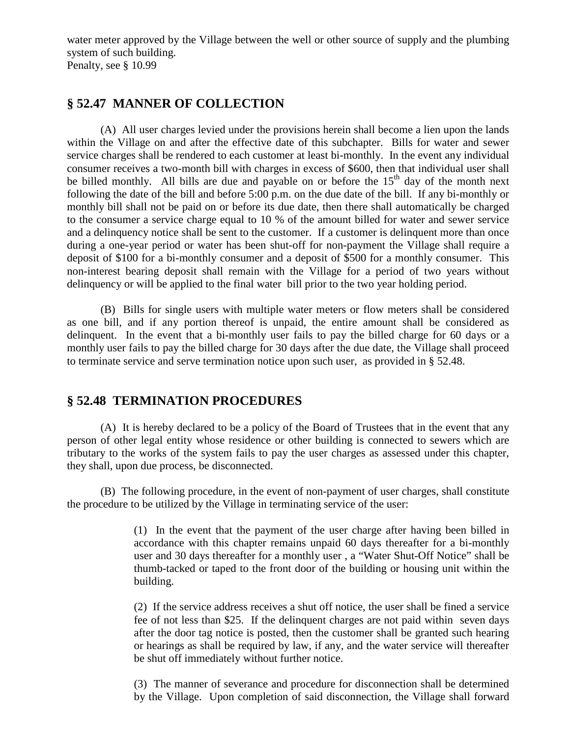water meter approved by the Village between the well or other source of supply and the plumbing system of such building.

Penalty, see § 10.99

# **§ 52.47 MANNER OF COLLECTION**

(A) All user charges levied under the provisions herein shall become a lien upon the lands within the Village on and after the effective date of this subchapter. Bills for water and sewer service charges shall be rendered to each customer at least bi-monthly. In the event any individual consumer receives a two-month bill with charges in excess of \$600, then that individual user shall be billed monthly. All bills are due and payable on or before the  $15<sup>th</sup>$  day of the month next following the date of the bill and before 5:00 p.m. on the due date of the bill. If any bi-monthly or monthly bill shall not be paid on or before its due date, then there shall automatically be charged to the consumer a service charge equal to 10 % of the amount billed for water and sewer service and a delinquency notice shall be sent to the customer. If a customer is delinquent more than once during a one-year period or water has been shut-off for non-payment the Village shall require a deposit of \$100 for a bi-monthly consumer and a deposit of \$500 for a monthly consumer. This non-interest bearing deposit shall remain with the Village for a period of two years without delinquency or will be applied to the final water bill prior to the two year holding period.

(B) Bills for single users with multiple water meters or flow meters shall be considered as one bill, and if any portion thereof is unpaid, the entire amount shall be considered as delinquent. In the event that a bi-monthly user fails to pay the billed charge for 60 days or a monthly user fails to pay the billed charge for 30 days after the due date, the Village shall proceed to terminate service and serve termination notice upon such user, as provided in § 52.48.

# **§ 52.48 TERMINATION PROCEDURES**

(A) It is hereby declared to be a policy of the Board of Trustees that in the event that any person of other legal entity whose residence or other building is connected to sewers which are tributary to the works of the system fails to pay the user charges as assessed under this chapter, they shall, upon due process, be disconnected.

(B) The following procedure, in the event of non-payment of user charges, shall constitute the procedure to be utilized by the Village in terminating service of the user:

> (1) In the event that the payment of the user charge after having been billed in accordance with this chapter remains unpaid 60 days thereafter for a bi-monthly user and 30 days thereafter for a monthly user , a "Water Shut-Off Notice" shall be thumb-tacked or taped to the front door of the building or housing unit within the building.

> (2) If the service address receives a shut off notice, the user shall be fined a service fee of not less than \$25. If the delinquent charges are not paid within seven days after the door tag notice is posted, then the customer shall be granted such hearing or hearings as shall be required by law, if any, and the water service will thereafter be shut off immediately without further notice.

> (3) The manner of severance and procedure for disconnection shall be determined by the Village. Upon completion of said disconnection, the Village shall forward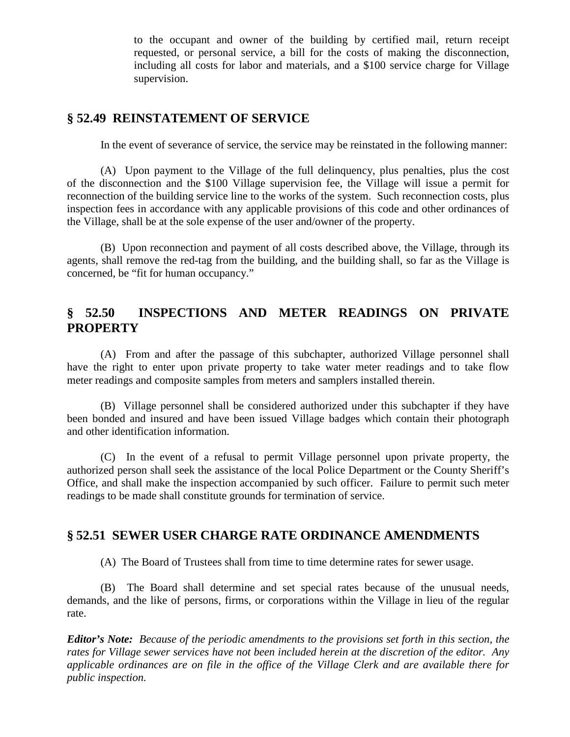to the occupant and owner of the building by certified mail, return receipt requested, or personal service, a bill for the costs of making the disconnection, including all costs for labor and materials, and a \$100 service charge for Village supervision.

## **§ 52.49 REINSTATEMENT OF SERVICE**

In the event of severance of service, the service may be reinstated in the following manner:

(A) Upon payment to the Village of the full delinquency, plus penalties, plus the cost of the disconnection and the \$100 Village supervision fee, the Village will issue a permit for reconnection of the building service line to the works of the system. Such reconnection costs, plus inspection fees in accordance with any applicable provisions of this code and other ordinances of the Village, shall be at the sole expense of the user and/owner of the property.

(B) Upon reconnection and payment of all costs described above, the Village, through its agents, shall remove the red-tag from the building, and the building shall, so far as the Village is concerned, be "fit for human occupancy."

## **§ 52.50 INSPECTIONS AND METER READINGS ON PRIVATE PROPERTY**

(A) From and after the passage of this subchapter, authorized Village personnel shall have the right to enter upon private property to take water meter readings and to take flow meter readings and composite samples from meters and samplers installed therein.

(B) Village personnel shall be considered authorized under this subchapter if they have been bonded and insured and have been issued Village badges which contain their photograph and other identification information.

(C) In the event of a refusal to permit Village personnel upon private property, the authorized person shall seek the assistance of the local Police Department or the County Sheriff's Office, and shall make the inspection accompanied by such officer. Failure to permit such meter readings to be made shall constitute grounds for termination of service.

# **§ 52.51 SEWER USER CHARGE RATE ORDINANCE AMENDMENTS**

(A) The Board of Trustees shall from time to time determine rates for sewer usage.

(B) The Board shall determine and set special rates because of the unusual needs, demands, and the like of persons, firms, or corporations within the Village in lieu of the regular rate.

*Editor's Note: Because of the periodic amendments to the provisions set forth in this section, the rates for Village sewer services have not been included herein at the discretion of the editor. Any applicable ordinances are on file in the office of the Village Clerk and are available there for public inspection.*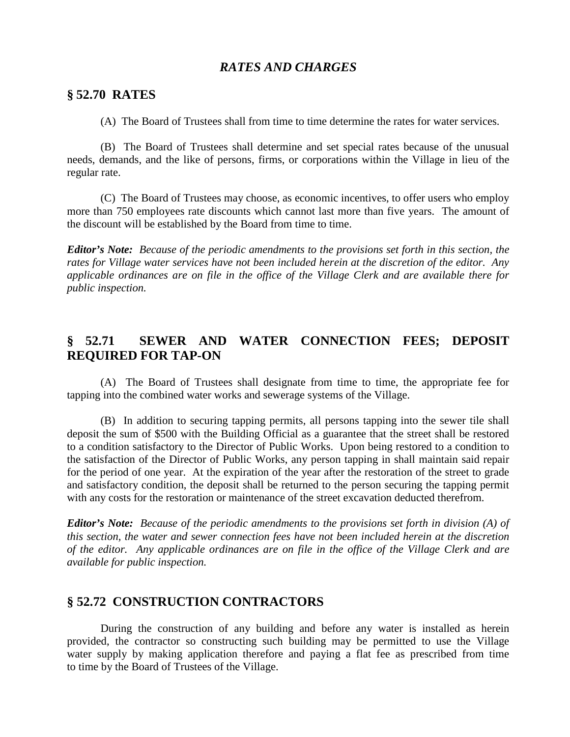#### *RATES AND CHARGES*

#### **§ 52.70 RATES**

(A) The Board of Trustees shall from time to time determine the rates for water services.

(B) The Board of Trustees shall determine and set special rates because of the unusual needs, demands, and the like of persons, firms, or corporations within the Village in lieu of the regular rate.

(C) The Board of Trustees may choose, as economic incentives, to offer users who employ more than 750 employees rate discounts which cannot last more than five years. The amount of the discount will be established by the Board from time to time.

*Editor's Note: Because of the periodic amendments to the provisions set forth in this section, the rates for Village water services have not been included herein at the discretion of the editor. Any applicable ordinances are on file in the office of the Village Clerk and are available there for public inspection.*

## **§ 52.71 SEWER AND WATER CONNECTION FEES; DEPOSIT REQUIRED FOR TAP-ON**

(A) The Board of Trustees shall designate from time to time, the appropriate fee for tapping into the combined water works and sewerage systems of the Village.

(B) In addition to securing tapping permits, all persons tapping into the sewer tile shall deposit the sum of \$500 with the Building Official as a guarantee that the street shall be restored to a condition satisfactory to the Director of Public Works. Upon being restored to a condition to the satisfaction of the Director of Public Works, any person tapping in shall maintain said repair for the period of one year. At the expiration of the year after the restoration of the street to grade and satisfactory condition, the deposit shall be returned to the person securing the tapping permit with any costs for the restoration or maintenance of the street excavation deducted therefrom.

*Editor's Note: Because of the periodic amendments to the provisions set forth in division (A) of this section, the water and sewer connection fees have not been included herein at the discretion of the editor. Any applicable ordinances are on file in the office of the Village Clerk and are available for public inspection.*

## **§ 52.72 CONSTRUCTION CONTRACTORS**

During the construction of any building and before any water is installed as herein provided, the contractor so constructing such building may be permitted to use the Village water supply by making application therefore and paying a flat fee as prescribed from time to time by the Board of Trustees of the Village.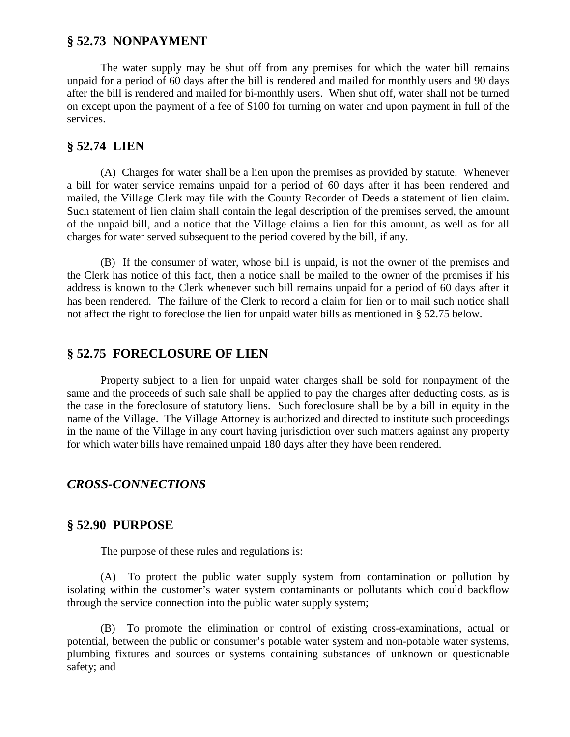#### **§ 52.73 NONPAYMENT**

The water supply may be shut off from any premises for which the water bill remains unpaid for a period of 60 days after the bill is rendered and mailed for monthly users and 90 days after the bill is rendered and mailed for bi-monthly users. When shut off, water shall not be turned on except upon the payment of a fee of \$100 for turning on water and upon payment in full of the services.

#### **§ 52.74 LIEN**

(A) Charges for water shall be a lien upon the premises as provided by statute. Whenever a bill for water service remains unpaid for a period of 60 days after it has been rendered and mailed, the Village Clerk may file with the County Recorder of Deeds a statement of lien claim. Such statement of lien claim shall contain the legal description of the premises served, the amount of the unpaid bill, and a notice that the Village claims a lien for this amount, as well as for all charges for water served subsequent to the period covered by the bill, if any.

(B) If the consumer of water, whose bill is unpaid, is not the owner of the premises and the Clerk has notice of this fact, then a notice shall be mailed to the owner of the premises if his address is known to the Clerk whenever such bill remains unpaid for a period of 60 days after it has been rendered. The failure of the Clerk to record a claim for lien or to mail such notice shall not affect the right to foreclose the lien for unpaid water bills as mentioned in § 52.75 below.

## **§ 52.75 FORECLOSURE OF LIEN**

Property subject to a lien for unpaid water charges shall be sold for nonpayment of the same and the proceeds of such sale shall be applied to pay the charges after deducting costs, as is the case in the foreclosure of statutory liens. Such foreclosure shall be by a bill in equity in the name of the Village. The Village Attorney is authorized and directed to institute such proceedings in the name of the Village in any court having jurisdiction over such matters against any property for which water bills have remained unpaid 180 days after they have been rendered.

#### *CROSS-CONNECTIONS*

#### **§ 52.90 PURPOSE**

The purpose of these rules and regulations is:

(A) To protect the public water supply system from contamination or pollution by isolating within the customer's water system contaminants or pollutants which could backflow through the service connection into the public water supply system;

(B) To promote the elimination or control of existing cross-examinations, actual or potential, between the public or consumer's potable water system and non-potable water systems, plumbing fixtures and sources or systems containing substances of unknown or questionable safety; and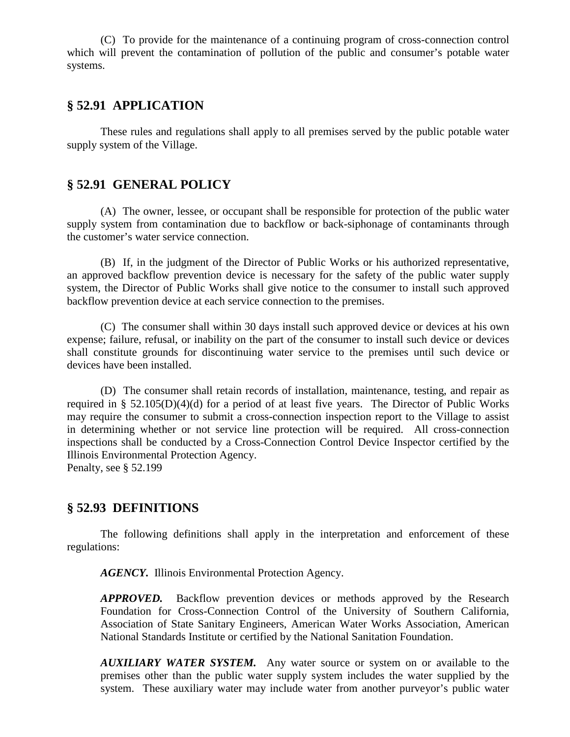(C) To provide for the maintenance of a continuing program of cross-connection control which will prevent the contamination of pollution of the public and consumer's potable water systems.

## **§ 52.91 APPLICATION**

These rules and regulations shall apply to all premises served by the public potable water supply system of the Village.

#### **§ 52.91 GENERAL POLICY**

(A) The owner, lessee, or occupant shall be responsible for protection of the public water supply system from contamination due to backflow or back-siphonage of contaminants through the customer's water service connection.

(B) If, in the judgment of the Director of Public Works or his authorized representative, an approved backflow prevention device is necessary for the safety of the public water supply system, the Director of Public Works shall give notice to the consumer to install such approved backflow prevention device at each service connection to the premises.

(C) The consumer shall within 30 days install such approved device or devices at his own expense; failure, refusal, or inability on the part of the consumer to install such device or devices shall constitute grounds for discontinuing water service to the premises until such device or devices have been installed.

(D) The consumer shall retain records of installation, maintenance, testing, and repair as required in § 52.105(D)(4)(d) for a period of at least five years. The Director of Public Works may require the consumer to submit a cross-connection inspection report to the Village to assist in determining whether or not service line protection will be required. All cross-connection inspections shall be conducted by a Cross-Connection Control Device Inspector certified by the Illinois Environmental Protection Agency.

Penalty, see § 52.199

#### **§ 52.93 DEFINITIONS**

The following definitions shall apply in the interpretation and enforcement of these regulations:

*AGENCY.* Illinois Environmental Protection Agency.

*APPROVED.* Backflow prevention devices or methods approved by the Research Foundation for Cross-Connection Control of the University of Southern California, Association of State Sanitary Engineers, American Water Works Association, American National Standards Institute or certified by the National Sanitation Foundation.

*AUXILIARY WATER SYSTEM.* Any water source or system on or available to the premises other than the public water supply system includes the water supplied by the system. These auxiliary water may include water from another purveyor's public water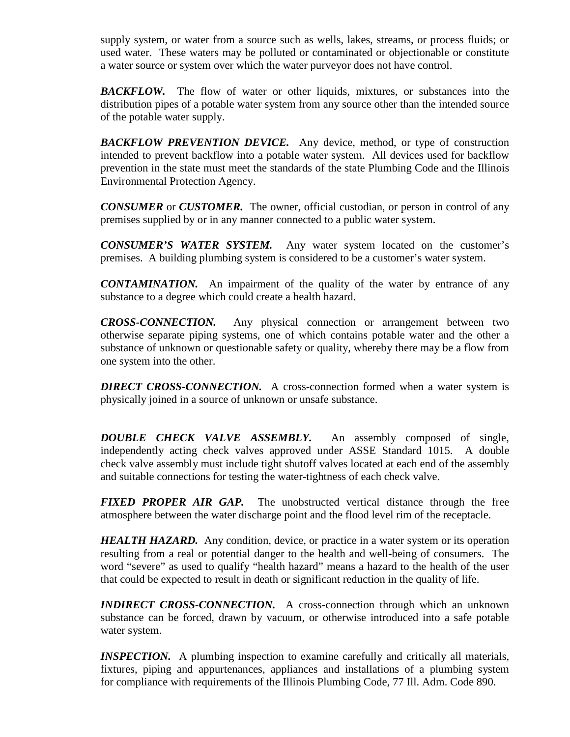supply system, or water from a source such as wells, lakes, streams, or process fluids; or used water. These waters may be polluted or contaminated or objectionable or constitute a water source or system over which the water purveyor does not have control.

*BACKFLOW.* The flow of water or other liquids, mixtures, or substances into the distribution pipes of a potable water system from any source other than the intended source of the potable water supply.

*BACKFLOW PREVENTION DEVICE.* Any device, method, or type of construction intended to prevent backflow into a potable water system. All devices used for backflow prevention in the state must meet the standards of the state Plumbing Code and the Illinois Environmental Protection Agency.

*CONSUMER* or *CUSTOMER.* The owner, official custodian, or person in control of any premises supplied by or in any manner connected to a public water system.

*CONSUMER'S WATER SYSTEM.* Any water system located on the customer's premises. A building plumbing system is considered to be a customer's water system.

*CONTAMINATION.* An impairment of the quality of the water by entrance of any substance to a degree which could create a health hazard.

*CROSS-CONNECTION.* Any physical connection or arrangement between two otherwise separate piping systems, one of which contains potable water and the other a substance of unknown or questionable safety or quality, whereby there may be a flow from one system into the other.

**DIRECT CROSS-CONNECTION.** A cross-connection formed when a water system is physically joined in a source of unknown or unsafe substance.

*DOUBLE CHECK VALVE ASSEMBLY.* An assembly composed of single, independently acting check valves approved under ASSE Standard 1015. A double check valve assembly must include tight shutoff valves located at each end of the assembly and suitable connections for testing the water-tightness of each check valve.

*FIXED PROPER AIR GAP.* The unobstructed vertical distance through the free atmosphere between the water discharge point and the flood level rim of the receptacle.

**HEALTH HAZARD.** Any condition, device, or practice in a water system or its operation resulting from a real or potential danger to the health and well-being of consumers. The word "severe" as used to qualify "health hazard" means a hazard to the health of the user that could be expected to result in death or significant reduction in the quality of life.

**INDIRECT CROSS-CONNECTION.** A cross-connection through which an unknown substance can be forced, drawn by vacuum, or otherwise introduced into a safe potable water system.

*INSPECTION.* A plumbing inspection to examine carefully and critically all materials, fixtures, piping and appurtenances, appliances and installations of a plumbing system for compliance with requirements of the Illinois Plumbing Code, 77 Ill. Adm. Code 890.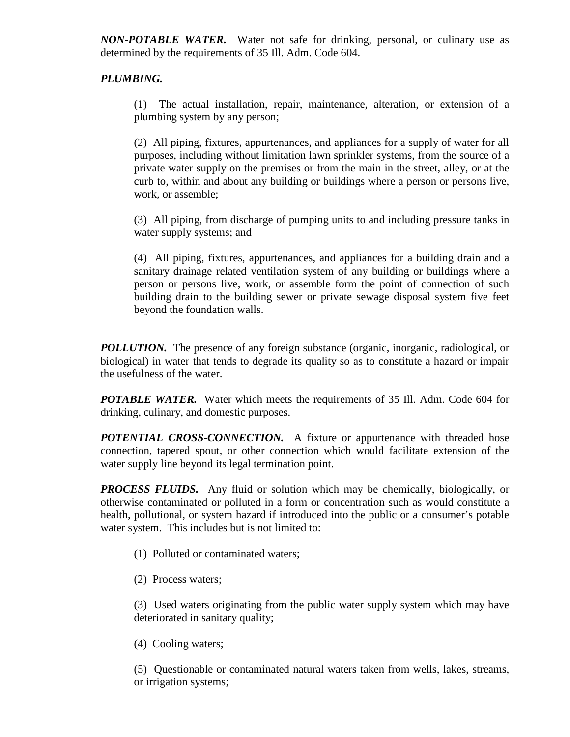*NON-POTABLE WATER.* Water not safe for drinking, personal, or culinary use as determined by the requirements of 35 Ill. Adm. Code 604.

#### *PLUMBING.*

(1) The actual installation, repair, maintenance, alteration, or extension of a plumbing system by any person;

(2) All piping, fixtures, appurtenances, and appliances for a supply of water for all purposes, including without limitation lawn sprinkler systems, from the source of a private water supply on the premises or from the main in the street, alley, or at the curb to, within and about any building or buildings where a person or persons live, work, or assemble;

(3) All piping, from discharge of pumping units to and including pressure tanks in water supply systems; and

(4) All piping, fixtures, appurtenances, and appliances for a building drain and a sanitary drainage related ventilation system of any building or buildings where a person or persons live, work, or assemble form the point of connection of such building drain to the building sewer or private sewage disposal system five feet beyond the foundation walls.

*POLLUTION*. The presence of any foreign substance (organic, inorganic, radiological, or biological) in water that tends to degrade its quality so as to constitute a hazard or impair the usefulness of the water.

*POTABLE WATER.* Water which meets the requirements of 35 Ill. Adm. Code 604 for drinking, culinary, and domestic purposes.

**POTENTIAL CROSS-CONNECTION.** A fixture or appurtenance with threaded hose connection, tapered spout, or other connection which would facilitate extension of the water supply line beyond its legal termination point.

*PROCESS FLUIDS.* Any fluid or solution which may be chemically, biologically, or otherwise contaminated or polluted in a form or concentration such as would constitute a health, pollutional, or system hazard if introduced into the public or a consumer's potable water system. This includes but is not limited to:

(1) Polluted or contaminated waters;

(2) Process waters;

(3) Used waters originating from the public water supply system which may have deteriorated in sanitary quality;

(4) Cooling waters;

(5) Questionable or contaminated natural waters taken from wells, lakes, streams, or irrigation systems;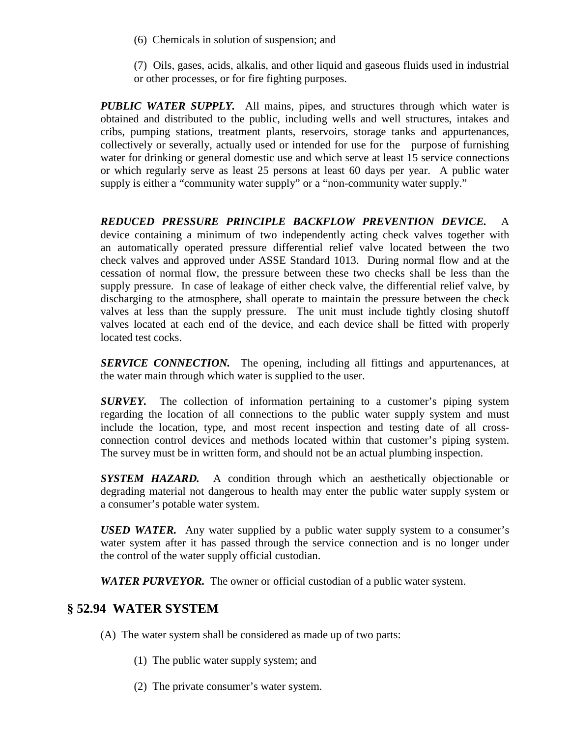(6) Chemicals in solution of suspension; and

(7) Oils, gases, acids, alkalis, and other liquid and gaseous fluids used in industrial or other processes, or for fire fighting purposes.

*PUBLIC WATER SUPPLY.* All mains, pipes, and structures through which water is obtained and distributed to the public, including wells and well structures, intakes and cribs, pumping stations, treatment plants, reservoirs, storage tanks and appurtenances, collectively or severally, actually used or intended for use for the purpose of furnishing water for drinking or general domestic use and which serve at least 15 service connections or which regularly serve as least 25 persons at least 60 days per year. A public water supply is either a "community water supply" or a "non-community water supply."

*REDUCED PRESSURE PRINCIPLE BACKFLOW PREVENTION DEVICE.* A device containing a minimum of two independently acting check valves together with an automatically operated pressure differential relief valve located between the two check valves and approved under ASSE Standard 1013. During normal flow and at the cessation of normal flow, the pressure between these two checks shall be less than the supply pressure. In case of leakage of either check valve, the differential relief valve, by discharging to the atmosphere, shall operate to maintain the pressure between the check valves at less than the supply pressure. The unit must include tightly closing shutoff valves located at each end of the device, and each device shall be fitted with properly located test cocks.

**SERVICE CONNECTION.** The opening, including all fittings and appurtenances, at the water main through which water is supplied to the user.

*SURVEY.* The collection of information pertaining to a customer's piping system regarding the location of all connections to the public water supply system and must include the location, type, and most recent inspection and testing date of all crossconnection control devices and methods located within that customer's piping system. The survey must be in written form, and should not be an actual plumbing inspection.

*SYSTEM HAZARD.* A condition through which an aesthetically objectionable or degrading material not dangerous to health may enter the public water supply system or a consumer's potable water system.

*USED WATER.* Any water supplied by a public water supply system to a consumer's water system after it has passed through the service connection and is no longer under the control of the water supply official custodian.

*WATER PURVEYOR.* The owner or official custodian of a public water system.

# **§ 52.94 WATER SYSTEM**

- (A) The water system shall be considered as made up of two parts:
	- (1) The public water supply system; and
	- (2) The private consumer's water system.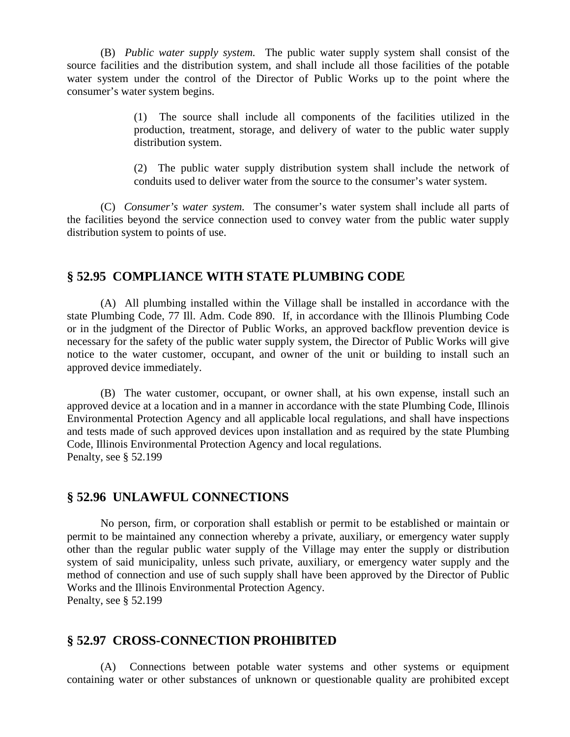(B) *Public water supply system.* The public water supply system shall consist of the source facilities and the distribution system, and shall include all those facilities of the potable water system under the control of the Director of Public Works up to the point where the consumer's water system begins.

> (1) The source shall include all components of the facilities utilized in the production, treatment, storage, and delivery of water to the public water supply distribution system.

> (2) The public water supply distribution system shall include the network of conduits used to deliver water from the source to the consumer's water system.

(C) *Consumer's water system.* The consumer's water system shall include all parts of the facilities beyond the service connection used to convey water from the public water supply distribution system to points of use.

## **§ 52.95 COMPLIANCE WITH STATE PLUMBING CODE**

(A) All plumbing installed within the Village shall be installed in accordance with the state Plumbing Code, 77 Ill. Adm. Code 890. If, in accordance with the Illinois Plumbing Code or in the judgment of the Director of Public Works, an approved backflow prevention device is necessary for the safety of the public water supply system, the Director of Public Works will give notice to the water customer, occupant, and owner of the unit or building to install such an approved device immediately.

(B) The water customer, occupant, or owner shall, at his own expense, install such an approved device at a location and in a manner in accordance with the state Plumbing Code, Illinois Environmental Protection Agency and all applicable local regulations, and shall have inspections and tests made of such approved devices upon installation and as required by the state Plumbing Code, Illinois Environmental Protection Agency and local regulations. Penalty, see § 52.199

#### **§ 52.96 UNLAWFUL CONNECTIONS**

No person, firm, or corporation shall establish or permit to be established or maintain or permit to be maintained any connection whereby a private, auxiliary, or emergency water supply other than the regular public water supply of the Village may enter the supply or distribution system of said municipality, unless such private, auxiliary, or emergency water supply and the method of connection and use of such supply shall have been approved by the Director of Public Works and the Illinois Environmental Protection Agency.

Penalty, see § 52.199

#### **§ 52.97 CROSS-CONNECTION PROHIBITED**

(A) Connections between potable water systems and other systems or equipment containing water or other substances of unknown or questionable quality are prohibited except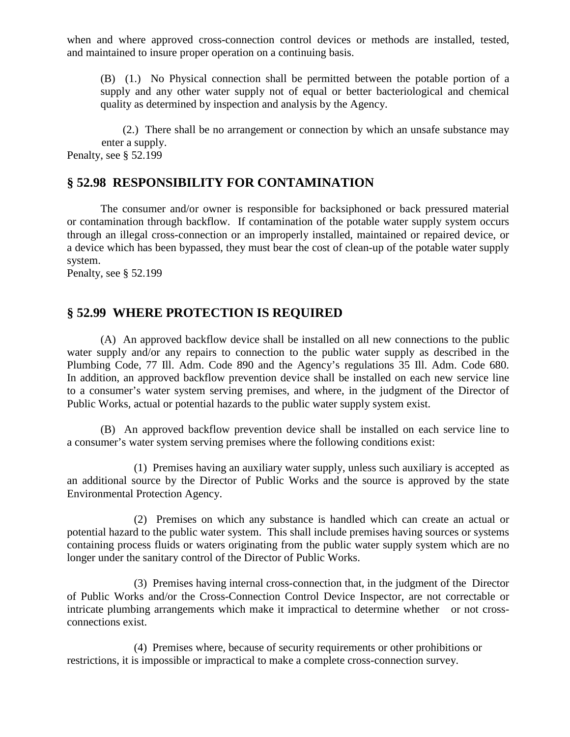when and where approved cross-connection control devices or methods are installed, tested, and maintained to insure proper operation on a continuing basis.

(B) (1.) No Physical connection shall be permitted between the potable portion of a supply and any other water supply not of equal or better bacteriological and chemical quality as determined by inspection and analysis by the Agency.

(2.) There shall be no arrangement or connection by which an unsafe substance may enter a supply. Penalty, see § 52.199

# **§ 52.98 RESPONSIBILITY FOR CONTAMINATION**

The consumer and/or owner is responsible for backsiphoned or back pressured material or contamination through backflow. If contamination of the potable water supply system occurs through an illegal cross-connection or an improperly installed, maintained or repaired device, or a device which has been bypassed, they must bear the cost of clean-up of the potable water supply system.

Penalty, see § 52.199

# **§ 52.99 WHERE PROTECTION IS REQUIRED**

(A) An approved backflow device shall be installed on all new connections to the public water supply and/or any repairs to connection to the public water supply as described in the Plumbing Code, 77 Ill. Adm. Code 890 and the Agency's regulations 35 Ill. Adm. Code 680. In addition, an approved backflow prevention device shall be installed on each new service line to a consumer's water system serving premises, and where, in the judgment of the Director of Public Works, actual or potential hazards to the public water supply system exist.

(B) An approved backflow prevention device shall be installed on each service line to a consumer's water system serving premises where the following conditions exist:

(1) Premises having an auxiliary water supply, unless such auxiliary is accepted as an additional source by the Director of Public Works and the source is approved by the state Environmental Protection Agency.

(2) Premises on which any substance is handled which can create an actual or potential hazard to the public water system. This shall include premises having sources or systems containing process fluids or waters originating from the public water supply system which are no longer under the sanitary control of the Director of Public Works.

(3) Premises having internal cross-connection that, in the judgment of the Director of Public Works and/or the Cross-Connection Control Device Inspector, are not correctable or intricate plumbing arrangements which make it impractical to determine whether or not crossconnections exist.

(4) Premises where, because of security requirements or other prohibitions or restrictions, it is impossible or impractical to make a complete cross-connection survey.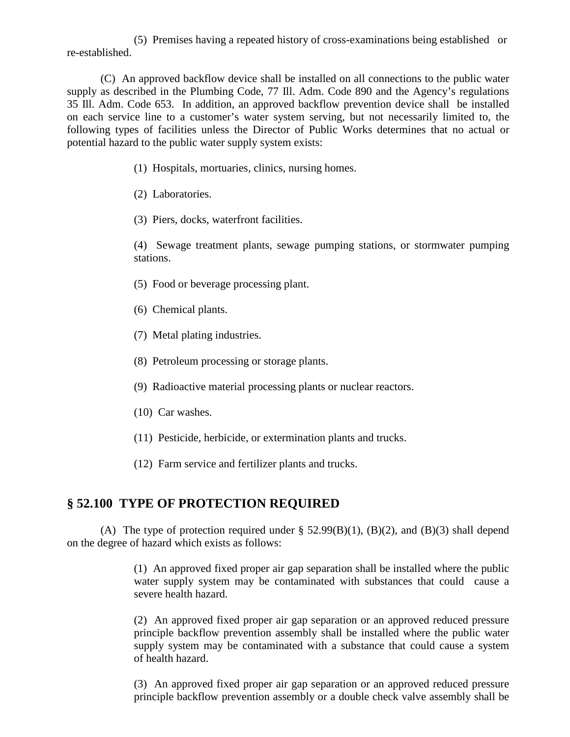(5) Premises having a repeated history of cross-examinations being established or re-established.

(C) An approved backflow device shall be installed on all connections to the public water supply as described in the Plumbing Code, 77 Ill. Adm. Code 890 and the Agency's regulations 35 Ill. Adm. Code 653. In addition, an approved backflow prevention device shall be installed on each service line to a customer's water system serving, but not necessarily limited to, the following types of facilities unless the Director of Public Works determines that no actual or potential hazard to the public water supply system exists:

- (1) Hospitals, mortuaries, clinics, nursing homes.
- (2) Laboratories.
- (3) Piers, docks, waterfront facilities.

(4) Sewage treatment plants, sewage pumping stations, or stormwater pumping stations.

- (5) Food or beverage processing plant.
- (6) Chemical plants.
- (7) Metal plating industries.
- (8) Petroleum processing or storage plants.
- (9) Radioactive material processing plants or nuclear reactors.
- (10) Car washes.
- (11) Pesticide, herbicide, or extermination plants and trucks.
- (12) Farm service and fertilizer plants and trucks.

## **§ 52.100 TYPE OF PROTECTION REQUIRED**

(A) The type of protection required under  $\S$  52.99(B)(1), (B)(2), and (B)(3) shall depend on the degree of hazard which exists as follows:

> (1) An approved fixed proper air gap separation shall be installed where the public water supply system may be contaminated with substances that could cause a severe health hazard.

> (2) An approved fixed proper air gap separation or an approved reduced pressure principle backflow prevention assembly shall be installed where the public water supply system may be contaminated with a substance that could cause a system of health hazard.

> (3) An approved fixed proper air gap separation or an approved reduced pressure principle backflow prevention assembly or a double check valve assembly shall be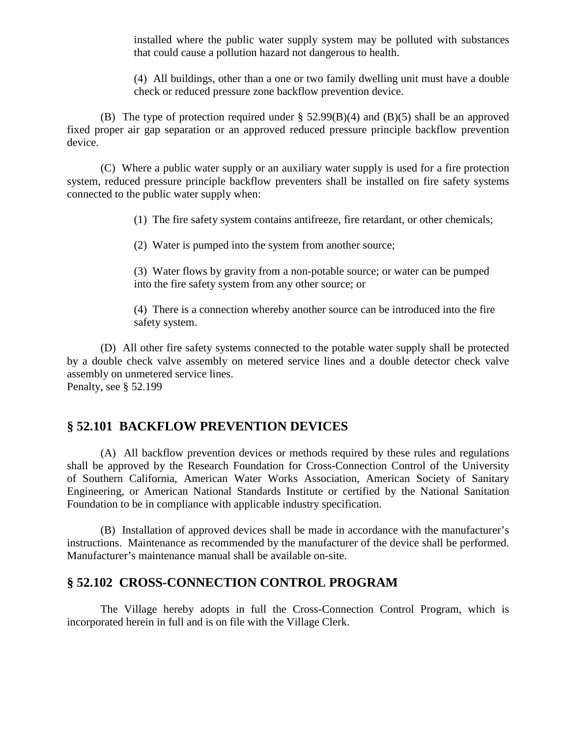installed where the public water supply system may be polluted with substances that could cause a pollution hazard not dangerous to health.

(4) All buildings, other than a one or two family dwelling unit must have a double check or reduced pressure zone backflow prevention device.

(B) The type of protection required under § 52.99(B)(4) and (B)(5) shall be an approved fixed proper air gap separation or an approved reduced pressure principle backflow prevention device.

(C) Where a public water supply or an auxiliary water supply is used for a fire protection system, reduced pressure principle backflow preventers shall be installed on fire safety systems connected to the public water supply when:

(1) The fire safety system contains antifreeze, fire retardant, or other chemicals;

(2) Water is pumped into the system from another source;

(3) Water flows by gravity from a non-potable source; or water can be pumped into the fire safety system from any other source; or

(4) There is a connection whereby another source can be introduced into the fire safety system.

(D) All other fire safety systems connected to the potable water supply shall be protected by a double check valve assembly on metered service lines and a double detector check valve assembly on unmetered service lines. Penalty, see § 52.199

# **§ 52.101 BACKFLOW PREVENTION DEVICES**

(A) All backflow prevention devices or methods required by these rules and regulations shall be approved by the Research Foundation for Cross-Connection Control of the University of Southern California, American Water Works Association, American Society of Sanitary Engineering, or American National Standards Institute or certified by the National Sanitation Foundation to be in compliance with applicable industry specification.

(B) Installation of approved devices shall be made in accordance with the manufacturer's instructions. Maintenance as recommended by the manufacturer of the device shall be performed. Manufacturer's maintenance manual shall be available on-site.

# **§ 52.102 CROSS-CONNECTION CONTROL PROGRAM**

The Village hereby adopts in full the Cross-Connection Control Program, which is incorporated herein in full and is on file with the Village Clerk.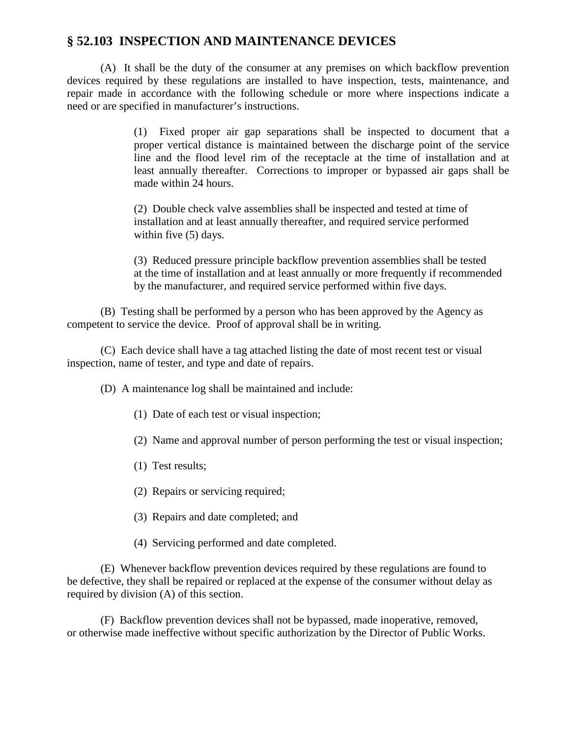## **§ 52.103 INSPECTION AND MAINTENANCE DEVICES**

(A) It shall be the duty of the consumer at any premises on which backflow prevention devices required by these regulations are installed to have inspection, tests, maintenance, and repair made in accordance with the following schedule or more where inspections indicate a need or are specified in manufacturer's instructions.

> (1) Fixed proper air gap separations shall be inspected to document that a proper vertical distance is maintained between the discharge point of the service line and the flood level rim of the receptacle at the time of installation and at least annually thereafter. Corrections to improper or bypassed air gaps shall be made within 24 hours.

(2) Double check valve assemblies shall be inspected and tested at time of installation and at least annually thereafter, and required service performed within five (5) days.

(3) Reduced pressure principle backflow prevention assemblies shall be tested at the time of installation and at least annually or more frequently if recommended by the manufacturer, and required service performed within five days.

(B) Testing shall be performed by a person who has been approved by the Agency as competent to service the device. Proof of approval shall be in writing.

(C) Each device shall have a tag attached listing the date of most recent test or visual inspection, name of tester, and type and date of repairs.

(D) A maintenance log shall be maintained and include:

- (1) Date of each test or visual inspection;
- (2) Name and approval number of person performing the test or visual inspection;
- (1) Test results;
- (2) Repairs or servicing required;
- (3) Repairs and date completed; and
- (4) Servicing performed and date completed.

(E) Whenever backflow prevention devices required by these regulations are found to be defective, they shall be repaired or replaced at the expense of the consumer without delay as required by division (A) of this section.

(F) Backflow prevention devices shall not be bypassed, made inoperative, removed, or otherwise made ineffective without specific authorization by the Director of Public Works.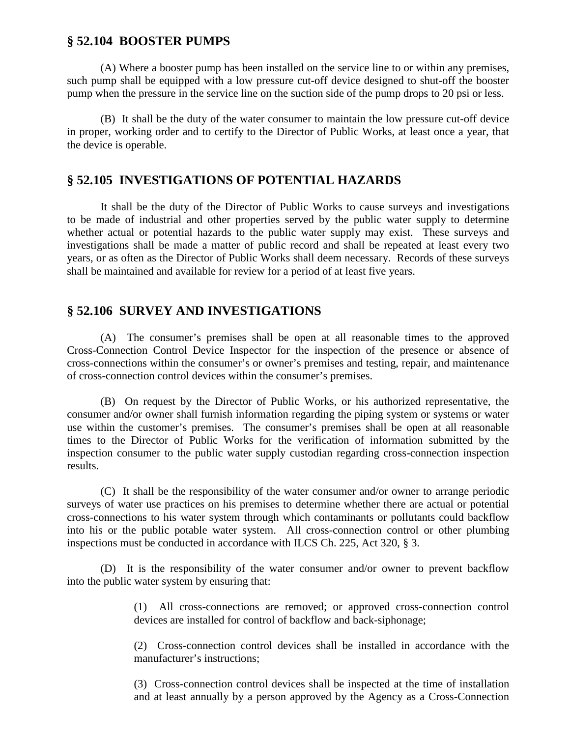#### **§ 52.104 BOOSTER PUMPS**

(A) Where a booster pump has been installed on the service line to or within any premises, such pump shall be equipped with a low pressure cut-off device designed to shut-off the booster pump when the pressure in the service line on the suction side of the pump drops to 20 psi or less.

(B) It shall be the duty of the water consumer to maintain the low pressure cut-off device in proper, working order and to certify to the Director of Public Works, at least once a year, that the device is operable.

## **§ 52.105 INVESTIGATIONS OF POTENTIAL HAZARDS**

It shall be the duty of the Director of Public Works to cause surveys and investigations to be made of industrial and other properties served by the public water supply to determine whether actual or potential hazards to the public water supply may exist. These surveys and investigations shall be made a matter of public record and shall be repeated at least every two years, or as often as the Director of Public Works shall deem necessary. Records of these surveys shall be maintained and available for review for a period of at least five years.

## **§ 52.106 SURVEY AND INVESTIGATIONS**

(A) The consumer's premises shall be open at all reasonable times to the approved Cross-Connection Control Device Inspector for the inspection of the presence or absence of cross-connections within the consumer's or owner's premises and testing, repair, and maintenance of cross-connection control devices within the consumer's premises.

(B) On request by the Director of Public Works, or his authorized representative, the consumer and/or owner shall furnish information regarding the piping system or systems or water use within the customer's premises. The consumer's premises shall be open at all reasonable times to the Director of Public Works for the verification of information submitted by the inspection consumer to the public water supply custodian regarding cross-connection inspection results.

(C) It shall be the responsibility of the water consumer and/or owner to arrange periodic surveys of water use practices on his premises to determine whether there are actual or potential cross-connections to his water system through which contaminants or pollutants could backflow into his or the public potable water system. All cross-connection control or other plumbing inspections must be conducted in accordance with ILCS Ch. 225, Act 320, § 3.

(D) It is the responsibility of the water consumer and/or owner to prevent backflow into the public water system by ensuring that:

> (1) All cross-connections are removed; or approved cross-connection control devices are installed for control of backflow and back-siphonage;

> (2) Cross-connection control devices shall be installed in accordance with the manufacturer's instructions;

> (3) Cross-connection control devices shall be inspected at the time of installation and at least annually by a person approved by the Agency as a Cross-Connection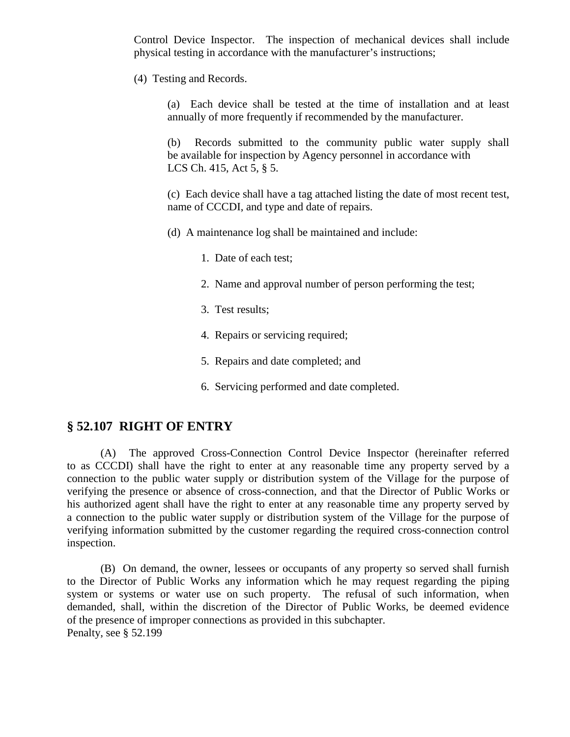Control Device Inspector. The inspection of mechanical devices shall include physical testing in accordance with the manufacturer's instructions;

(4) Testing and Records.

(a) Each device shall be tested at the time of installation and at least annually of more frequently if recommended by the manufacturer.

(b) Records submitted to the community public water supply shall be available for inspection by Agency personnel in accordance with LCS Ch. 415, Act 5, § 5.

(c) Each device shall have a tag attached listing the date of most recent test, name of CCCDI, and type and date of repairs.

(d) A maintenance log shall be maintained and include:

- 1. Date of each test;
- 2. Name and approval number of person performing the test;
- 3. Test results;
- 4. Repairs or servicing required;
- 5. Repairs and date completed; and
- 6. Servicing performed and date completed.

#### **§ 52.107 RIGHT OF ENTRY**

(A) The approved Cross-Connection Control Device Inspector (hereinafter referred to as CCCDI) shall have the right to enter at any reasonable time any property served by a connection to the public water supply or distribution system of the Village for the purpose of verifying the presence or absence of cross-connection, and that the Director of Public Works or his authorized agent shall have the right to enter at any reasonable time any property served by a connection to the public water supply or distribution system of the Village for the purpose of verifying information submitted by the customer regarding the required cross-connection control inspection.

(B) On demand, the owner, lessees or occupants of any property so served shall furnish to the Director of Public Works any information which he may request regarding the piping system or systems or water use on such property. The refusal of such information, when demanded, shall, within the discretion of the Director of Public Works, be deemed evidence of the presence of improper connections as provided in this subchapter. Penalty, see § 52.199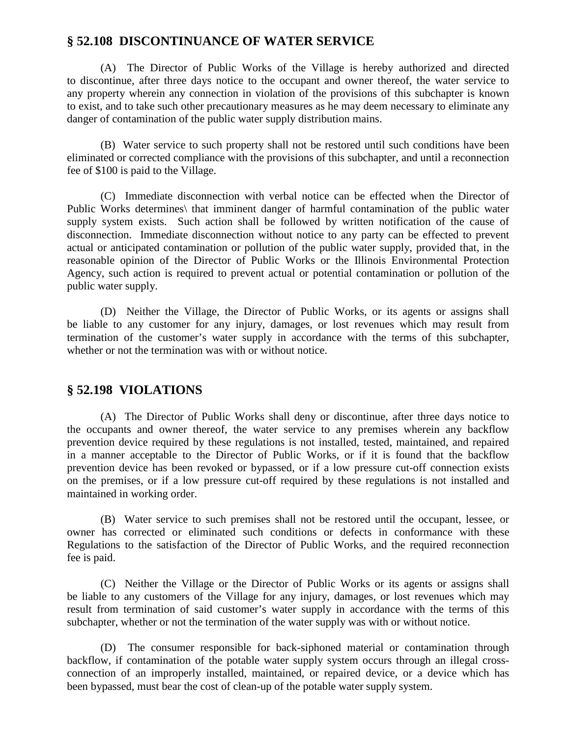## **§ 52.108 DISCONTINUANCE OF WATER SERVICE**

(A) The Director of Public Works of the Village is hereby authorized and directed to discontinue, after three days notice to the occupant and owner thereof, the water service to any property wherein any connection in violation of the provisions of this subchapter is known to exist, and to take such other precautionary measures as he may deem necessary to eliminate any danger of contamination of the public water supply distribution mains.

(B) Water service to such property shall not be restored until such conditions have been eliminated or corrected compliance with the provisions of this subchapter, and until a reconnection fee of \$100 is paid to the Village.

(C) Immediate disconnection with verbal notice can be effected when the Director of Public Works determines\ that imminent danger of harmful contamination of the public water supply system exists. Such action shall be followed by written notification of the cause of disconnection. Immediate disconnection without notice to any party can be effected to prevent actual or anticipated contamination or pollution of the public water supply, provided that, in the reasonable opinion of the Director of Public Works or the Illinois Environmental Protection Agency, such action is required to prevent actual or potential contamination or pollution of the public water supply.

(D) Neither the Village, the Director of Public Works, or its agents or assigns shall be liable to any customer for any injury, damages, or lost revenues which may result from termination of the customer's water supply in accordance with the terms of this subchapter, whether or not the termination was with or without notice.

## **§ 52.198 VIOLATIONS**

(A) The Director of Public Works shall deny or discontinue, after three days notice to the occupants and owner thereof, the water service to any premises wherein any backflow prevention device required by these regulations is not installed, tested, maintained, and repaired in a manner acceptable to the Director of Public Works, or if it is found that the backflow prevention device has been revoked or bypassed, or if a low pressure cut-off connection exists on the premises, or if a low pressure cut-off required by these regulations is not installed and maintained in working order.

(B) Water service to such premises shall not be restored until the occupant, lessee, or owner has corrected or eliminated such conditions or defects in conformance with these Regulations to the satisfaction of the Director of Public Works, and the required reconnection fee is paid.

(C) Neither the Village or the Director of Public Works or its agents or assigns shall be liable to any customers of the Village for any injury, damages, or lost revenues which may result from termination of said customer's water supply in accordance with the terms of this subchapter, whether or not the termination of the water supply was with or without notice.

(D) The consumer responsible for back-siphoned material or contamination through backflow, if contamination of the potable water supply system occurs through an illegal crossconnection of an improperly installed, maintained, or repaired device, or a device which has been bypassed, must bear the cost of clean-up of the potable water supply system.